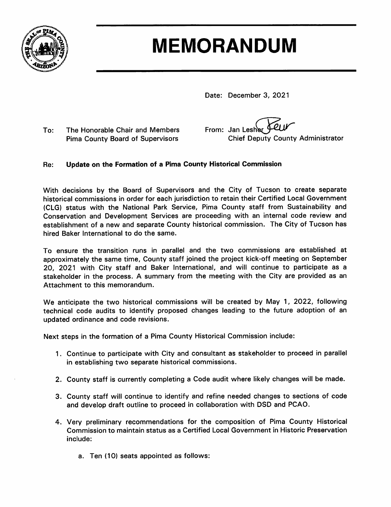

# **MEMORANDUM**

Date: December 3, 2021

 $To:$ The Honorable Chair and Members **Pima County Board of Supervisors** 

From: Jan Lesher **Chief Deputy County Administrator** 

#### Update on the Formation of a Pima County Historical Commission Re:

With decisions by the Board of Supervisors and the City of Tucson to create separate historical commissions in order for each jurisdiction to retain their Certified Local Government (CLG) status with the National Park Service, Pima County staff from Sustainability and Conservation and Development Services are proceeding with an internal code review and establishment of a new and separate County historical commission. The City of Tucson has hired Baker International to do the same.

To ensure the transition runs in parallel and the two commissions are established at approximately the same time, County staff joined the project kick-off meeting on September 20, 2021 with City staff and Baker International, and will continue to participate as a stakeholder in the process. A summary from the meeting with the City are provided as an Attachment to this memorandum.

We anticipate the two historical commissions will be created by May 1, 2022, following technical code audits to identify proposed changes leading to the future adoption of an updated ordinance and code revisions.

Next steps in the formation of a Pima County Historical Commission include:

- 1. Continue to participate with City and consultant as stakeholder to proceed in parallel in establishing two separate historical commissions.
- 2. County staff is currently completing a Code audit where likely changes will be made.
- 3. County staff will continue to identify and refine needed changes to sections of code and develop draft outline to proceed in collaboration with DSD and PCAO.
- 4. Very preliminary recommendations for the composition of Pima County Historical Commission to maintain status as a Certified Local Government in Historic Preservation include:
	- a. Ten (10) seats appointed as follows: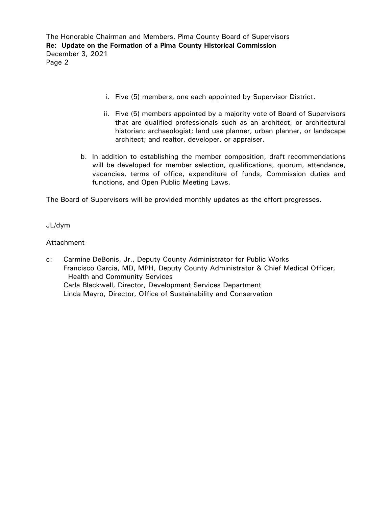The Honorable Chairman and Members, Pima County Board of Supervisors **Re: Update on the Formation of a Pima County Historical Commission** December 3, 2021 Page 2

- i. Five (5) members, one each appointed by Supervisor District.
- ii. Five (5) members appointed by a majority vote of Board of Supervisors that are qualified professionals such as an architect, or architectural historian; archaeologist; land use planner, urban planner, or landscape architect; and realtor, developer, or appraiser.
- b. In addition to establishing the member composition, draft recommendations will be developed for member selection, qualifications, quorum, attendance, vacancies, terms of office, expenditure of funds, Commission duties and functions, and Open Public Meeting Laws.

The Board of Supervisors will be provided monthly updates as the effort progresses.

JL/dym

# Attachment

c: Carmine DeBonis, Jr., Deputy County Administrator for Public Works Francisco Garcia, MD, MPH, Deputy County Administrator & Chief Medical Officer, Health and Community Services Carla Blackwell, Director, Development Services Department Linda Mayro, Director, Office of Sustainability and Conservation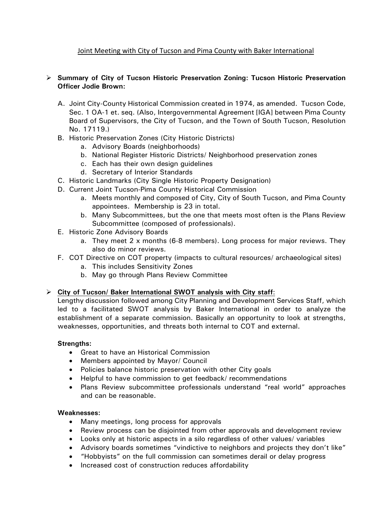# Joint Meeting with City of Tucson and Pima County with Baker International

# **Summary of City of Tucson Historic Preservation Zoning: Tucson Historic Preservation Officer Jodie Brown:**

- A. Joint City-County Historical Commission created in 1974, as amended. Tucson Code, Sec. 1 OA-1 et. seq. (Also, Intergovernmental Agreement [IGA] between Pima County Board of Supervisors, the City of Tucson, and the Town of South Tucson, Resolution No. 17119.)
- B. Historic Preservation Zones (City Historic Districts)
	- a. Advisory Boards (neighborhoods)
	- b. National Register Historic Districts/ Neighborhood preservation zones
	- c. Each has their own design guidelines
	- d. Secretary of Interior Standards
- C. Historic Landmarks (City Single Historic Property Designation)
- D. Current Joint Tucson-Pima County Historical Commission
	- a. Meets monthly and composed of City, City of South Tucson, and Pima County appointees. Membership is 23 in total.
	- b. Many Subcommittees, but the one that meets most often is the Plans Review Subcommittee (composed of professionals).
- E. Historic Zone Advisory Boards
	- a. They meet 2 x months (6-8 members). Long process for major reviews. They also do minor reviews.
- F. COT Directive on COT property (impacts to cultural resources/ archaeological sites)
	- a. This includes Sensitivity Zones
	- b. May go through Plans Review Committee

# **City of Tucson/ Baker International SWOT analysis with City staff**:

Lengthy discussion followed among City Planning and Development Services Staff, which led to a facilitated SWOT analysis by Baker International in order to analyze the establishment of a separate commission. Basically an opportunity to look at strengths, weaknesses, opportunities, and threats both internal to COT and external.

#### **Strengths:**

- Great to have an Historical Commission
- Members appointed by Mayor/ Council
- Policies balance historic preservation with other City goals
- Helpful to have commission to get feedback/ recommendations
- Plans Review subcommittee professionals understand "real world" approaches and can be reasonable.

#### **Weaknesses:**

- Many meetings, long process for approvals
- Review process can be disjointed from other approvals and development review
- Looks only at historic aspects in a silo regardless of other values/ variables
- Advisory boards sometimes "vindictive to neighbors and projects they don't like"
- "Hobbyists" on the full commission can sometimes derail or delay progress
- Increased cost of construction reduces affordability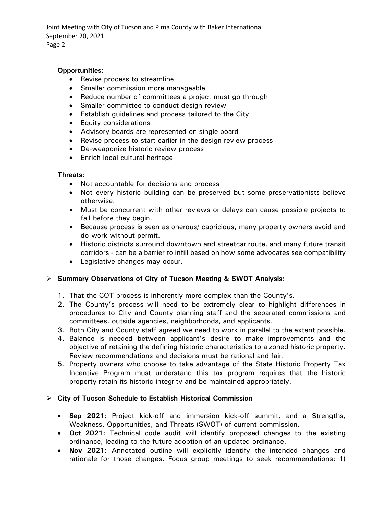Joint Meeting with City of Tucson and Pima County with Baker International September 20, 2021 Page 2

### **Opportunities:**

- Revise process to streamline
- Smaller commission more manageable
- Reduce number of committees a project must go through
- Smaller committee to conduct design review
- Establish guidelines and process tailored to the City
- Equity considerations
- Advisory boards are represented on single board
- Revise process to start earlier in the design review process
- De-weaponize historic review process
- Enrich local cultural heritage

#### **Threats:**

- Not accountable for decisions and process
- Not every historic building can be preserved but some preservationists believe otherwise.
- Must be concurrent with other reviews or delays can cause possible projects to fail before they begin.
- Because process is seen as onerous/ capricious, many property owners avoid and do work without permit.
- Historic districts surround downtown and streetcar route, and many future transit corridors - can be a barrier to infill based on how some advocates see compatibility
- Legislative changes may occur.

# **Summary Observations of City of Tucson Meeting & SWOT Analysis:**

- 1. That the COT process is inherently more complex than the County's.
- 2. The County's process will need to be extremely clear to highlight differences in procedures to City and County planning staff and the separated commissions and committees, outside agencies, neighborhoods, and applicants.
- 3. Both City and County staff agreed we need to work in parallel to the extent possible.
- 4. Balance is needed between applicant's desire to make improvements and the objective of retaining the defining historic characteristics to a zoned historic property. Review recommendations and decisions must be rational and fair.
- 5. Property owners who choose to take advantage of the State Historic Property Tax Incentive Program must understand this tax program requires that the historic property retain its historic integrity and be maintained appropriately.

#### **City of Tucson Schedule to Establish Historical Commission**

- **Sep 2021:** Project kick-off and immersion kick-off summit, and a Strengths, Weakness, Opportunities, and Threats (SWOT) of current commission.
- **Oct 2021:** Technical code audit will identify proposed changes to the existing ordinance, leading to the future adoption of an updated ordinance.
- **Nov 2021:** Annotated outline will explicitly identify the intended changes and rationale for those changes. Focus group meetings to seek recommendations: 1)